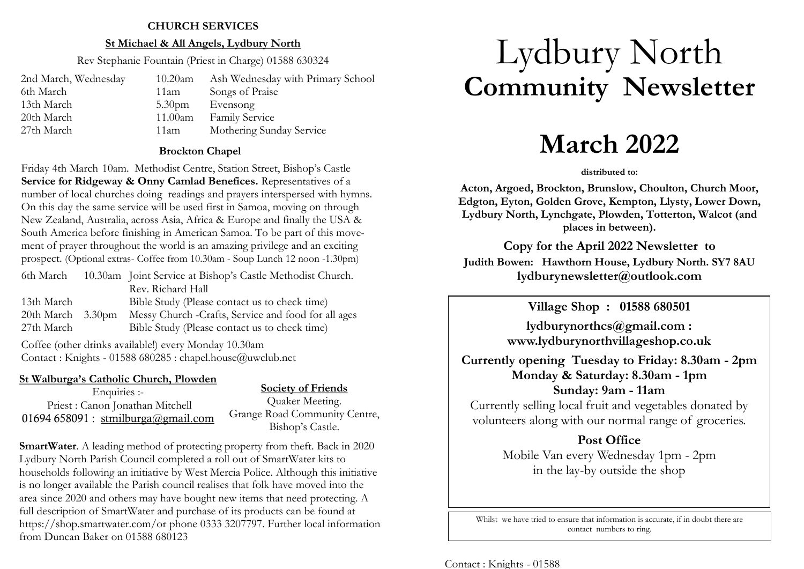### **CHURCH SERVICES**

### **St Michael & All Angels, Lydbury North**

Rev Stephanie Fountain (Priest in Charge) 01588 630324

| 2nd March, Wednesday | $10.20$ am         | Ash Wednesday with Primary School |
|----------------------|--------------------|-----------------------------------|
| 6th March            | 11am               | Songs of Praise                   |
| 13th March           | 5.30 <sub>pm</sub> | Evensong                          |
| 20th March           | 11.00am            | <b>Family Service</b>             |
| 27th March           | 11am               | Mothering Sunday Service          |

### **Brockton Chapel**

Friday 4th March 10am. Methodist Centre, Station Street, Bishop's Castle **Service for Ridgeway & Onny Camlad Benefices.** Representatives of a number of local churches doing readings and prayers interspersed with hymns. On this day the same service will be used first in Samoa, moving on through New Zealand, Australia, across Asia, Africa & Europe and finally the USA & South America before finishing in American Samoa. To be part of this movement of prayer throughout the world is an amazing privilege and an exciting prospect. (Optional extras- Coffee from 10.30am - Soup Lunch 12 noon -1.30pm)

| 6th March           | 10.30am Joint Service at Bishop's Castle Methodist Church. |
|---------------------|------------------------------------------------------------|
|                     | Rev. Richard Hall                                          |
| 13th March          | Bible Study (Please contact us to check time)              |
| $20th March$ 3.30pm | Messy Church - Crafts, Service and food for all ages       |
| 27th March          | Bible Study (Please contact us to check time)              |

Coffee (other drinks available!) every Monday 10.30am Contact : Knights - 01588 680285 : chapel.house@uwclub.net

### **St Walburga's Catholic Church, Plowden**

Enquiries :- Priest : Canon Jonathan Mitchell 01694 658091 : [stmilburga@gmail.com](mailto:stmilburga@gmail.com)

**Society of Friends** Quaker Meeting. Grange Road Community Centre, Bishop's Castle.

**SmartWater**. A leading method of protecting property from theft. Back in 2020 Lydbury North Parish Council completed a roll out of SmartWater kits to households following an initiative by West Mercia Police. Although this initiative is no longer available the Parish council realises that folk have moved into the area since 2020 and others may have bought new items that need protecting. A full description of SmartWater and purchase of its products can be found at https://shop.smartwater.com/or phone 0333 3207797. Further local information from Duncan Baker on 01588 680123

# Lydbury North **Community Newsletter**

## **March 2022**

#### **distributed to:**

**Acton, Argoed, Brockton, Brunslow, Choulton, Church Moor, Edgton, Eyton, Golden Grove, Kempton, Llysty, Lower Down, Lydbury North, Lynchgate, Plowden, Totterton, Walcot (and places in between).**

**Copy for the April 2022 Newsletter to Judith Bowen: Hawthorn House, Lydbury North. SY7 8AU lydburynewsletter@outlook.com** 

**Village Shop : 01588 680501**

**lydburynorthcs@gmail.com : www.lydburynorthvillageshop.co.uk** 

**Currently opening Tuesday to Friday: 8.30am - 2pm Monday & Saturday: 8.30am - 1pm Sunday: 9am - 11am**

Currently selling local fruit and vegetables donated by volunteers along with our normal range of groceries.

> **Post Office** Mobile Van every Wednesday 1pm - 2pm in the lay-by outside the shop

Whilst we have tried to ensure that information is accurate, if in doubt there are contact numbers to ring.

Contact : Knights - 01588